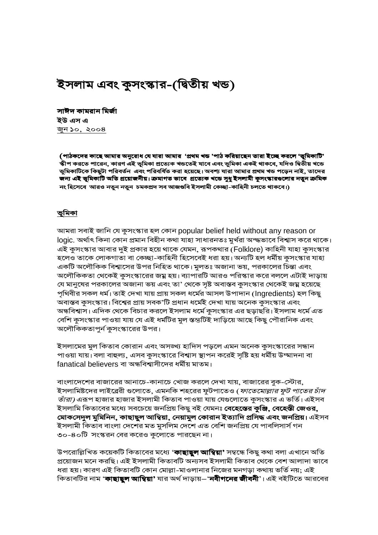# ইসলাম এবং কুসংস্কার-(দ্বিতীয় খন্ড)

সাঈদ কামরান মির্জা ইউ এস এ <u>জুন ১০, ২০০৪</u>

(পাঠকদের কাছে আমার অনুরোধ যে যারা আমার 'প্রথম খন্ড 'পাঠ করিয়াছেন তারা ইচ্ছে করলে 'ভূমিকাটি' স্কীপ করতে পারেন, কারণ এই ভূমিকা প্রত্যেক খন্ডতেই যাবে এবং ভূমিকা একই থাকবে, যদিও দ্বিতীয় খন্ডে ভূমিকাটিকে কিছুটা পরিবর্তন এবং পরিবর্ধিত করা হয়েছে। অবশ্য যারা আমার প্রথম খন্ড পড়েন নাই, তাদের জন্য এই ভূমিকাটি অতি প্রয়োজনীয়। ক্রমাগত ভাবে প্রত্যেক খন্ডে সুধু ইসলামী কুসংস্কারগুলোর নতুন ক্রমিক নং হিসেবে আরও নতুন নতুন চমকপ্রদ সব আজগুবি ইসলামী কেচ্ছা-কাহিনী চলতে থাকবে।)

#### <u>ভূমিকা</u>

আমরা সবাই জানি যে কুসংস্কার হল কোন popular belief held without any reason or logic. অর্থাৎ কিনা কোন প্রমান বিহীন কথা যাহা সাধারনতঃ মুর্খরা অন্দ্ধভাবে বিশ্বাস করে থাকে। এই কুসংস্কার আবার দুই প্রকার হয়ে থাকে যেমন, রূপকথার (Folklore) কাহিনী যাহা কুসংস্কার হলেও তাকে লোকগাতা বা কেচ্ছা-কাহিনী হিসেবেই ধরা হয়। অন্যটি হল ধর্মীয় কুসংস্কার যাহা একটি অলৌকিক বিশ্বাসের উপর নিহিত থাকে। মুলতঃ অজানা ভয়, পরকালের চিন্তা এবং অলৌকিকতা থেকেই কুসংস্কারের জম্ন হয়। ব্যাপারটি আরও পরিস্কার করে বললে এটাই দাড়ায় যে মানুষের পরকালের অজানা ভয় এবং তা' থেকে সৃষ্ট অবাস্তব কুসংস্কার থেকেই জয়্ন হয়েছে পৃথিবীর সকল ধর্ম। তাই দেখা যায় প্রায় সকল ধর্মের আসল উপাদান (Ingredients) হল কিছু অবাস্তব কুসংস্কার। বিশ্বের প্রায় সবক'টি প্রধান ধর্মেই দেখা যায় অনেক কুসংস্কার এবং অন্ধবিশ্বাস। এদিক থেকে বিচার করলে ইসলাম ধর্মে কুসংস্কার এর ছড়াছরি। ইসলাম ধর্মে এত বেশি কুসংস্কার পাওয়া যায় যে এই ধর্মটির মুল স্তন্ডটিই দাড়িয়ে আছে কিছু পৌরানিক এবং অলৌকিকতাপুর্ন কুসংস্কারের উপর।

ইসলামের মুল কিতাব কোরান এবং অসঙ্খ্য হাদিস পড়লে এমন অনেক কুসংস্কারের সন্ধান পাওয়া যায়। বলা বাহুল্য, এসব কুসংস্কারে বিশ্বাস স্থাপন করেই সৃষ্টি হয় ধর্মীয় উম্মাদনা বা fanatical believers বা অন্ধবিশ্বাসীদের ধর্মীয় মাতম।

বাংলাদেশের বাজারের আনাচে-কানাচে খোজ করলে দেখা যায়, বাজারের বুক-স্টোর, ইসলামিষ্টদের লাইব্রেরী গুলোতে, এমনকি শহরের ফুটপাতেও (*ফাতেমোল্লার ফুট পাতের চাঁদ তাঁরা)* এরূপ হাজার হাজার ইসলামী কিতাব পাওয়া যায় যেগুলোতে কুসংস্কার এ ভর্তি। এইসব ইসলামি কিতাবের মধ্যে সবচেয়ে জনপ্রিয় কিছু বই যেমনঃ **বেহেন্তের কুঞ্জি, বেহেন্তী জেওর,** মোকসেদুল মুমিনিন, কাছাছুল আম্বিয়া, নেয়ামুল কোরান ইত্যাদি প্রসিদ্ধ এবং জনপ্রিয়। এইসব ইসলামী কিতাব বাংলা দেশের মত মুসলিম দেশে এত বেশি জনপ্রিয় যে পাবলিসার্স গন ৩০-৪০টি সংস্করন বের করেও কুলোতে পারছেন না।

উপরোল্লিখিত কয়েকটি কিতাবের মধ্যে '**কাছাছুল আম্বিয়া'** সম্বন্ধে কিছু কথা বলা এখানে অতি প্রয়োজন মনে করছি। এই ইসলামী কিতাবটি অন্যসব ইসলামী কিতাব থেকে বেশ আলাদা ভাবে ধরা হয়। কারণ এই কিতাবটি কোন মোল্লা-মাওলানার নিজের মনগড়া কথায় ভর্তি নয়; এই কিতাবটির নাম '**কাছাছূল আম্বিয়া'** যার অর্থ দাড়ায়–'**নবীগনের জীবনী**'। এই বইটিতে আরবের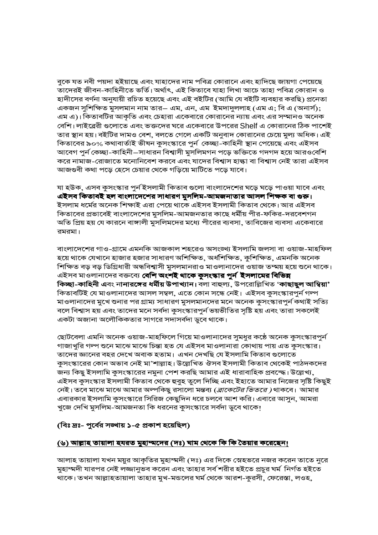বুকে যত নবী পয়দা হইয়াছে এবং যাহাদের নাম পবিত্র কোরানে এবং হাদিছে জায়গা পেয়েছে তাদেরই জীবন-কাহিনীতে ভর্তি। অর্থাৎ, এই কিতাবে যাহা লিখা আচে তাহা পবিত্র কোরান ও হাদীসের বর্ণনা অনুযায়ী রচিত হয়েছে এবং এই বইটির (আমি যে বইটি ব্যবহার করছি) প্রনেতা একজন সুশিক্ষিত মুসলমান নাম তার– এম, এন, এম ইমদাদুললাহ (এম এ; বি এ (অনার্স); এম এ)। কিতাবটির আকৃতি এবং চেহারা একেবারে কোরানের ন্যায় এবং এর সম্মানও অনেক বেশি। লাইব্রেরী গুলোতে এবং ভক্তদের ঘরে একেবারে উপরের Shelf এ কোরানের ঠিক পাশেই তার স্থান হয়। বইটির দামও বেশ, বলতে গেলে একটি অনুবাদ কোরানের চেয়ে মুল্য অধিক। এই কিতাবের ৯০% কথাবার্তাই ভীষন কুসংস্কারে পুর্ন কেচ্ছা-কাহিনী স্থান পেয়েছে এবং এইসব আবেগ পুর্ন কেচ্ছা-কাহিনী–সাধারন বিশ্বাসী মুসলিমগন পড়ে ভক্তিতে গদগদ হয়ে আরওবেশি করে নামাজ-রোজাতে মনোনিবেশ করবে এবং যাদের বিশ্বাস হাল্কা বা বিশ্বাস নেই তারা এইসব আজগুবী কথা পড়ে হেসে চেয়ার থেকে গড়িয়ে মাটিতে পড়ে যাবে।

যা হউক, এসব কুসংস্কার পুর্ন ইসলামী কিতাব গুলো বাংলাদেশের ঘড়ে ঘড়ে পাওয়া যাবে এবং এইসব কিতাবই হল বাংলাদেশের সাধারণ মুসলিম-আমজনাতার আসল শিক্ষক বা গুরু। ইসলাম ধর্মের অনেক শিক্ষাই এরা পেয়ে থাকে এইসব ইসলামী কিতাব থেকে। আর এইসব কিতাবের প্রভাবেই বাংলাদেশের মুসলিম-আমজনতার কাছে ধর্মীয় পীর-ফকির-দরবেশগন অতি প্রিয় হয় যে কারনে বাঙ্গালী মুসলিমদের মধ্যে পীরের ব্যবসা, তাবিজের ব্যবসা একেবারে রমরমা।

বাংলাদেশের গাও-গ্রামে এমনকি আজকাল শহরেও অসংঙ্খ্য ইসলামি জলসা বা ওয়াজ-মাহফিল হয়ে থাকে যেখানে হাজার হজার সাধারণ অশিক্ষিত, অর্ধশিক্ষিত, কুশিক্ষিত, এমনকি অনেক শিক্ষিত বড় বড় ডিগ্রিধারী অন্ধবিশ্বাসী মুসলমানরাও মাওলানাদের ওয়াজ তম্ময় হয়ে শুনে থাকে। এইসব মাওলানাদের বক্তব্যে বেশি অংশই থাকে কুসংস্কার পুর্ন ইসলামের বিভিন্ন কিচ্ছা-কাহিনী এবং নানারঙ্গের ধর্মীয় উপাখ্যান। বলা বাহুল্য, উপরোল্লিখিত 'কাছাছুল আম্বিয়া' কিতাবটিই যে মাওলানাদের আসল সম্বল, এতে কোন সন্ধে নেই। এইসব কুসংস্কারপুর্ন গন্প মাওলানাদের মুখে শুনার পর গ্রাম্য সাধারণ মুসলমানদের মনে অনেক কুসংস্কারপুর্ন কথাই সত্যি বলে বিশ্বাস হয় এবং তাদের মনে সর্বদা কুসংস্কারপুর্ন ভয়ভীতির সৃষ্টি হয় এবং তারা সকলেই একটা অজানা অলৌকিকতার সাগরে সদাসর্বদা ডুবে থাকে।

ছোটবেলা এমনি অনেক ওয়াজ-মাহফিলে গিয়ে মাওলানাদের সুমধুর কঠে অনেক কুসংস্কারপুর্ন গাজাখুরি গল্প শুনে মাঝে মাঝে চিন্তা হত যে এইসব মাওলানারা কোথায় পায় এত কুসংস্কার। তাদের জ্ঞানের বহর দেখে অবাক হতাম। এখন দেখছি যে ইসলামি কিতাব গুলোতে কুসংস্কারের কোন অভাব নেই মা'শাল্লাহ। উল্লেখিত ঔসব ইসলামী কিতাব থেকেই পাঠদকদের জন্য কিছু ইসলামি কুসংস্কারের নমুনা পেশ করছি আমার এই ধারাবাহিক প্রবন্দ্ধে। উল্লেখ্য, এইসব কুসংস্কার ইসলামী কিতাব থেকে হুবুহ তুলে দিচ্ছি এবং ইহাতে আমার নিজের সৃষ্টি কিছুই নেই। তবে মাঝে মাঝে আমার অল্পকিছু রসালো মন্তব্য (*ব্রাকেটের ভিতরে )* থাকবে। আমার এবারকার ইসলামি কুসংস্কারে সিরিজ কেছুদিন ধরে চলবে আশ করি। এবারে আসুন, আমরা খুজে দেখি মুসলিম-আমজনতা কি ধরনের কুসংস্কারে সর্বদা ডুবে থাকে!

#### (বিঃ দ্রঃ- পুর্বের সঙ্খায় ১-৫ প্রকাশ হয়েছিল)

#### <u>(৬) আল্লাহ তায়ালা হযরত মুহাম্মদের (দঃ) ঘাম থেকে কি কি তৈয়ার করেছেন!</u>

আলাহ তায়ালা যখন ময়ুর আকৃতির মুহাম্মদী (দঃ) এর দিকে স্নেহভরে নজর করেন তাতে নুরে মুহাম্মদী যারপর নেই লজ্জানুভব করেন এবং তাহার সর্ব শরীর হইতে প্রচুর ঘর্ম নির্গত হইতে থাকে। তখন আল্লাহতায়ালা তাহার মুখ-মন্ডলের ঘর্ম থেকে আরশ-কুরসী, ফেরেস্তা, লওহ,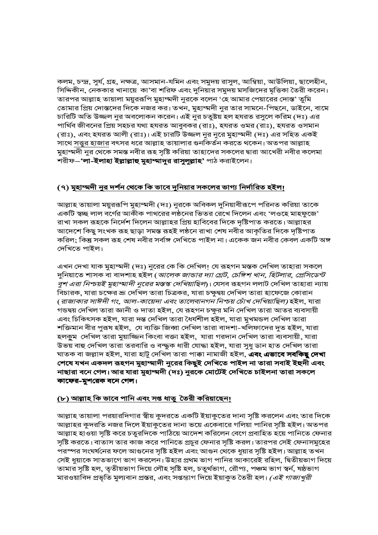কলম, চন্দ্র, সুর্য, গ্রহ, নক্ষত্র, আসমান-যমিন এবং সমুদয় রাসুল, আম্বিয়া, আউলিয়া, ছালেহীন, সিদ্দিকীন, নেককার খানায়ে কা'বা শরিফ এবং দুনিয়ার সমুদয় মসজিদের মৃত্তিকা তৈরী করেন। তারপর আল্লাহ তায়ালা ময়ুররূপি মুহাম্মদী নুরকে বলেন 'হে আমার পেয়ারের দোস্ত' তুমি তোমার প্রিয় দোস্তদের দিকে নজর কর। তখন, মুহাম্মদী নুর তার সামনে-পিছনে, ডাইনে, বামে চারিটি অতি উজ্জল নুর অবলোকন করেন। এই নুর চতুষ্টয় হল হযরত রসুলে করিম (দঃ) এর পার্থিব জীবনের প্রিয় সহচর যথা হযরত আবুবকর (রাঃ), হযরত ওমর (রাঃ), হযরত ওসমান (রাঃ), এবং হযরত আলী (রাঃ)। এই চারটি উজ্জল নুর নুরে মুহাম্মদী (দঃ) এর সহিত একই সাথে সত্ত্বর হাজার বৎসর ধরে আল্লাহ তায়ালার গুনকির্তন করতে থকেন। অতপর আল্লাহ মুহাম্মদী নুর থেকে সমস্ত নবীর রূহ সৃষ্টি করিয়া তাহাদের সকলের দ্বারা আখেরী নবীর কলেমা শরীফ–**'লা-ইলাহা ইল্লাল্লাহু মুহাম্মাদুর রাসুলুল্লাহ'** পাঠ করাইলেন।

# (৭) মু<u>হাম্মদী নুর দর্শন থেকে কি ভাবে দুনিয়ার সকলের ভাগ্য নির্দারিত হইল।</u>

আল্লাহ তায়ালা ময়ুররূপি মুহাম্মদী (দঃ) নুরকে অবিকল দুনিয়াবীরূপে পরিনত করিয়া তাকে একটি স্বচ্ছ লাল বর্ণের আকীক পাথরের লন্ঠনের ভিতর রেখে দিলেন এবং 'লওহে মাহফুজে' রাখা সকল রূহকে নির্দেশ দিলেন আল্লাহর প্রিয় হাবিবের দিকে দৃষ্টিপাত করতে। আল্লাহর আদেশে কিছু সংখক রূহ ছাড়া সমস্ত রূহই লষ্ঠনে রাখা শেষ নবীর আকৃতির দিকে দৃষ্টিপাত করিল; কিন্তু সকল রূহ শেষ নবীর সর্বাঙ্গ দেখিতে পাইল না। একেক জন নবীর কেবল একটি অঙ্গ দেখিতে পাইল।

এখন দেখা যাক মুহাম্মদী (দঃ) নুরের কে কি দেখিল! যে রূহগন মস্তক দেখিল তাহারা সকলে দুনিয়াতে শাসক বা বাদশাহ হইল (*আলেক জান্ডার দ্যা গ্রেট, চেঙ্গিশ খান, হিটলার, প্রেসিডেন্ট বুশ এরা নিশ্চয়ই মুহাম্মাদী নুরের মস্তস্ক দেখিয়াছিল*)। যেসব রূহগন ললাট দেখিল তাহারা ন্যায় বিচারক, যারা চক্ষের ভ্রূ দেখিল তারা চিত্রকর, যারা চক্ষুদ্বয় দেখিল তারা হাফেজে কোরান (রাজাকার সাঈদী গং, আল-কায়েদা এবং তালেবানগন নিশ্চয় চোঁখ দেখিয়াছিল) হইল, যারা গন্ডদ্বয় দেখিল তারা জ্ঞানী ও দাতা হইল, যে রূহগন চক্ষুর মনি দেখিল তারা আতর ব্যবসায়ী এবং চিকিৎসক হইল, যারা দন্ত দেখিল তারা ধৈর্যশীল হইল, যারা মুখমন্ডল দেখিল তারা শক্তিমান বীর পুরূষ হইল, যে ব্যক্তি জিব্বা দেখিল তারা বাদশা-খলিফাদের দুত হইল, যারা হলকুম দেখিল তারা মুয়াজ্জিন কিংবা বক্তা হইল, যারা গরদান দেখিল তারা ব্যবসায়ী, যারা উভয় বাহু দেখিল তারা তরবারি ও বন্দ্ধুক ধারী যোদ্ধা হইল, যারা সুধু ডান হাত দেখিল তারা ঘাতক বা জল্লাদ হইল, যারা হাটু দেখিল তারা পাক্কা নামাজী হইল, **এবং এভাবে সবকিছু দেখা** শেষে যখন একদল রূহগন মুহাম্মাদী নুরের কিছুই দেখিতে পাইল না তারা সবাই ইহুদী এবং নাছারা বনে গেল। আর যারা মুহাম্মদী (দঃ) নুরকে মোটেই দেখিতে চাইলনা তারা সকলে কাফের-মুশরেক বনে গেল।

# <u>(৮) আল্লাহ কি ভাবে পানি এবং সপ্ত ধাতু তৈরী করিয়াছেন!</u>

আল্লাহ তায়ালা পরয়ারদিগার স্বীয় কুদরতে একটি ইয়াকুতের দানা সৃষ্টি করলেন এবং তার দিকে আল্লাহর কুদরতি নজর দিলে ইয়াকুতের দানা ভয়ে একেবারে গলিয়া পানির সৃষ্টি হইল। অতপর আল্লাহ হাওয়া সৃষ্টি করে চতুরদিকে পাঠিয়ে আদেশ করিলেন বেগে প্রবাহিত হয়ে পানিতে ফেনার সৃষ্টি করতে। বাতাস তার কাজ করে পানিতে প্রচুর ফেনার সৃষ্টি করল। তারপর সেই ফেনাসমুহের পরস্পর সংঘর্ষনের ফলে আগুনের সৃষ্টি হইল এবং আগুন থেকে ধুয়ার সৃষ্টি হইল। আল্লাহ তখন সেই ধুয়াকে সাতভাগে ভাগ করলেন। উহার প্রথম ভাগ পানির আকারেই রহিল, দ্বিতীয়ভাগ দিয়ে তামার সৃষ্টি হল, তৃতীয়ভাগ দিয়ে লৌহ সৃষ্টি হল, চতুর্থভাগ, রৌপ্য, পঞ্চম ভাগ স্বর্ন, ষষ্ঠভাগ মারওয়াবিদ প্রভৃতি মুল্যবান প্রস্তর, এবং সপ্তম্ভাগ দিয়ে ইয়াকুত তৈরী হল। *(এই গাজাখুরী*